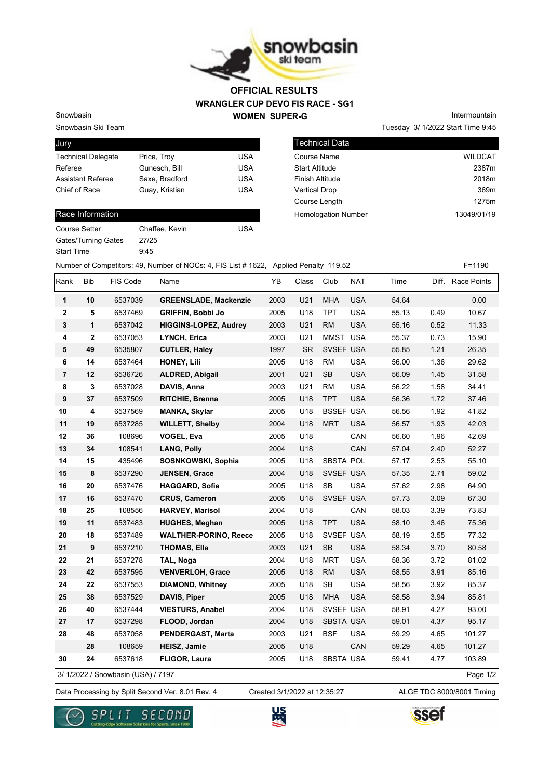

## **WRANGLER CUP DEVO FIS RACE - SG1 WOMEN SUPER-G OFFICIAL RESULTS**

Snowbasin Ski Team

Snowbasin

| Jury                      |                |            |
|---------------------------|----------------|------------|
| <b>Technical Delegate</b> | Price, Troy    | USA        |
| Referee                   | Gunesch, Bill  | <b>USA</b> |
| <b>Assistant Referee</b>  | Saxe, Bradford | <b>USA</b> |
| Chief of Race             | Guay, Kristian | <b>USA</b> |
|                           |                |            |

## Race Information

| Course Setter              | Chaffee, Kevin | USA |
|----------------------------|----------------|-----|
| <b>Gates/Turning Gates</b> | 27/25          |     |
| <b>Start Time</b>          | 9.45           |     |

Technical Data Course Name WILDCAT Start Altitude 2387m Finish Altitude 2018m Vertical Drop 369m Course Length 1275m Homologation Number 13049/01/19

Tuesday 3/ 1/2022 Start Time 9:45

Intermountain

Number of Competitors: 49, Number of NOCs: 4, FIS List # 1622, Applied Penalty 119.52 F=1190

| Rank           | Bib          | FIS Code                           | Name                         | YB   | Class     | Club             | <b>NAT</b> | Time  |      | Diff. Race Points |
|----------------|--------------|------------------------------------|------------------------------|------|-----------|------------------|------------|-------|------|-------------------|
| 1              | 10           | 6537039                            | <b>GREENSLADE, Mackenzie</b> | 2003 | U21       | <b>MHA</b>       | <b>USA</b> | 54.64 |      | 0.00              |
| $\mathbf 2$    | 5            | 6537469                            | <b>GRIFFIN, Bobbi Jo</b>     | 2005 | U18       | <b>TPT</b>       | <b>USA</b> | 55.13 | 0.49 | 10.67             |
| 3              | 1            | 6537042                            | <b>HIGGINS-LOPEZ, Audrey</b> | 2003 | U21       | <b>RM</b>        | <b>USA</b> | 55.16 | 0.52 | 11.33             |
| 4              | $\mathbf{2}$ | 6537053                            | <b>LYNCH, Erica</b>          | 2003 | U21       | MMST USA         |            | 55.37 | 0.73 | 15.90             |
| 5              | 49           | 6535807                            | <b>CUTLER, Haley</b>         | 1997 | <b>SR</b> | SVSEF USA        |            | 55.85 | 1.21 | 26.35             |
| 6              | 14           | 6537464                            | HONEY, Lili                  | 2005 | U18       | <b>RM</b>        | <b>USA</b> | 56.00 | 1.36 | 29.62             |
| $\overline{7}$ | 12           | 6536726                            | ALDRED, Abigail              | 2001 | U21       | SB               | <b>USA</b> | 56.09 | 1.45 | 31.58             |
| 8              | 3            | 6537028                            | DAVIS, Anna                  | 2003 | U21       | <b>RM</b>        | <b>USA</b> | 56.22 | 1.58 | 34.41             |
| 9              | 37           | 6537509                            | RITCHIE, Brenna              | 2005 | U18       | <b>TPT</b>       | <b>USA</b> | 56.36 | 1.72 | 37.46             |
| 10             | 4            | 6537569                            | <b>MANKA, Skylar</b>         | 2005 | U18       | <b>BSSEF USA</b> |            | 56.56 | 1.92 | 41.82             |
| 11             | 19           | 6537285                            | <b>WILLETT, Shelby</b>       | 2004 | U18       | <b>MRT</b>       | <b>USA</b> | 56.57 | 1.93 | 42.03             |
| 12             | 36           | 108696                             | <b>VOGEL, Eva</b>            | 2005 | U18       |                  | CAN        | 56.60 | 1.96 | 42.69             |
| 13             | 34           | 108541                             | <b>LANG, Polly</b>           | 2004 | U18       |                  | CAN        | 57.04 | 2.40 | 52.27             |
| 14             | 15           | 435496                             | SOSNKOWSKI, Sophia           | 2005 | U18       | <b>SBSTA POL</b> |            | 57.17 | 2.53 | 55.10             |
| 15             | 8            | 6537290                            | JENSEN, Grace                | 2004 | U18       | SVSEF USA        |            | 57.35 | 2.71 | 59.02             |
| 16             | 20           | 6537476                            | <b>HAGGARD, Sofie</b>        | 2005 | U18       | <b>SB</b>        | <b>USA</b> | 57.62 | 2.98 | 64.90             |
| 17             | 16           | 6537470                            | <b>CRUS, Cameron</b>         | 2005 | U18       | SVSEF USA        |            | 57.73 | 3.09 | 67.30             |
| 18             | 25           | 108556                             | <b>HARVEY, Marisol</b>       | 2004 | U18       |                  | CAN        | 58.03 | 3.39 | 73.83             |
| 19             | 11           | 6537483                            | <b>HUGHES, Meghan</b>        | 2005 | U18       | <b>TPT</b>       | <b>USA</b> | 58.10 | 3.46 | 75.36             |
| 20             | 18           | 6537489                            | <b>WALTHER-PORINO, Reece</b> | 2005 | U18       | SVSEF USA        |            | 58.19 | 3.55 | 77.32             |
| 21             | 9            | 6537210                            | <b>THOMAS, Ella</b>          | 2003 | U21       | <b>SB</b>        | <b>USA</b> | 58.34 | 3.70 | 80.58             |
| 22             | 21           | 6537278                            | TAL, Noga                    | 2004 | U18       | <b>MRT</b>       | <b>USA</b> | 58.36 | 3.72 | 81.02             |
| 23             | 42           | 6537595                            | <b>VENVERLOH, Grace</b>      | 2005 | U18       | <b>RM</b>        | <b>USA</b> | 58.55 | 3.91 | 85.16             |
| 24             | 22           | 6537553                            | <b>DIAMOND, Whitney</b>      | 2005 | U18       | <b>SB</b>        | <b>USA</b> | 58.56 | 3.92 | 85.37             |
| 25             | 38           | 6537529                            | DAVIS, Piper                 | 2005 | U18       | <b>MHA</b>       | <b>USA</b> | 58.58 | 3.94 | 85.81             |
| 26             | 40           | 6537444                            | <b>VIESTURS, Anabel</b>      | 2004 | U18       | SVSEF USA        |            | 58.91 | 4.27 | 93.00             |
| 27             | 17           | 6537298                            | FLOOD, Jordan                | 2004 | U18       | <b>SBSTA USA</b> |            | 59.01 | 4.37 | 95.17             |
| 28             | 48           | 6537058                            | PENDERGAST, Marta            | 2003 | U21       | <b>BSF</b>       | <b>USA</b> | 59.29 | 4.65 | 101.27            |
|                | 28           | 108659                             | <b>HEISZ, Jamie</b>          | 2005 | U18       |                  | CAN        | 59.29 | 4.65 | 101.27            |
| 30             | 24           | 6537618                            | <b>FLIGOR, Laura</b>         | 2005 | U18       | SBSTA USA        |            | 59.41 | 4.77 | 103.89            |
|                |              | 3/ 1/2022 / Snowbasin (USA) / 7197 |                              |      |           |                  |            |       |      | Page 1/2          |

3/ 1/2022 / Snowbasin (USA) / 7197

Data Processing by Split Second Ver. 8.01 Rev. 4 Created 3/1/2022 at 12:35:27 ALGE TDC 8000/8001 Timing Created 3/1/2022 at 12:35:27